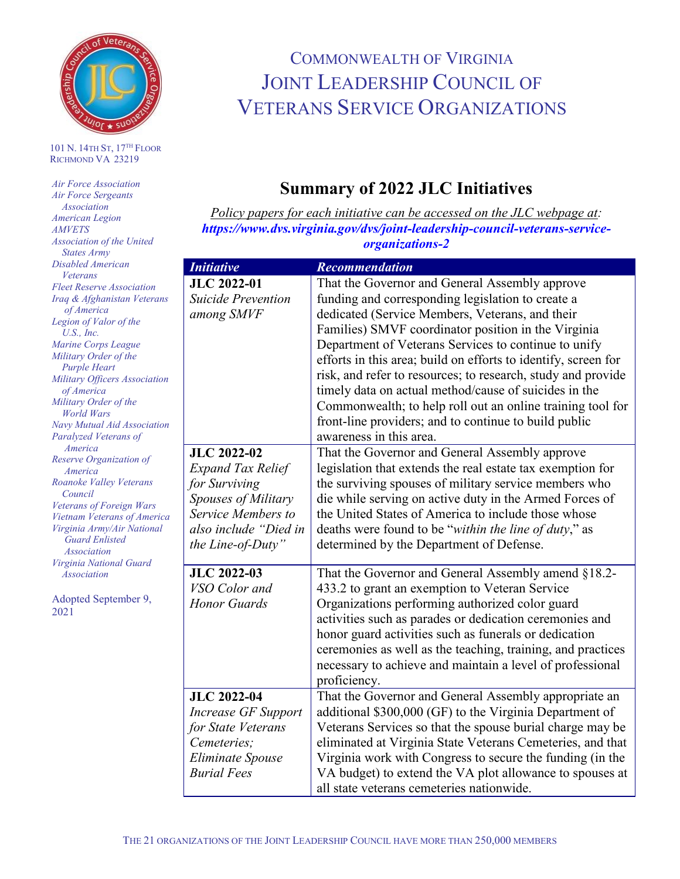

## 101 N. 14TH ST, 17TH FLOOR RICHMOND VA 23219

| <b>Air Force Association</b>     |                        |
|----------------------------------|------------------------|
| <b>Air Force Sergeants</b>       |                        |
| <b>Association</b>               |                        |
| American Legion                  |                        |
| <b>AMVETS</b>                    |                        |
| Association of the United        |                        |
| <b>States Army</b>               |                        |
| Disabled American                | In                     |
| Veterans                         |                        |
| <b>Fleet Reserve Association</b> | JI                     |
| Iraq & Afghanistan Veterans      | $\mathcal{S}$ <i>t</i> |
| of America                       | ar                     |
| Legion of Valor of the           |                        |
| U.S., Inc.                       |                        |
| Marine Corps League              |                        |
| Military Order of the            |                        |
| Purple Heart                     |                        |
| Military Officers Association    |                        |
| of America                       |                        |
| Military Order of the            |                        |
| <b>World Wars</b>                |                        |
| Navy Mutual Aid Association      |                        |
| Paralyzed Veterans of            |                        |
| America                          | ${\bf J}$              |
| Reserve Organization of          |                        |
| America                          | ЕJ                     |
| Roanoke Valley Veterans          | fo                     |
| Council                          | $\mathit{Sp}$          |
| Veterans of Foreign Wars         | $S\epsilon$            |
| Vietnam Veterans of America      |                        |
| Virginia Army/Air National       | al                     |
| <b>Guard Enlisted</b>            | th                     |
| Association                      |                        |
| Virginia National Guard          |                        |
| Association                      | JI                     |
|                                  | $V_{\star}$            |
| Adopted September 9,             | H                      |
| 2021                             |                        |
|                                  |                        |
|                                  |                        |
|                                  |                        |
|                                  |                        |

## COMMONWEALTH OF VIRGINIA JOINT LEADERSHIP COUNCIL OF VETERANS SERVICE ORGANIZATIONS

## **Summary of 2022 JLC Initiatives**

*Policy papers for each initiative can be accessed on the JLC webpage at: [https://www.dvs.virginia.gov/dvs/joint-leadership-council-veterans-service](https://www.dvs.virginia.gov/dvs/joint-leadership-council-veterans-service-organizations-2)[organizations-2](https://www.dvs.virginia.gov/dvs/joint-leadership-council-veterans-service-organizations-2)*

| <b>Initiative</b>          | <b>Recommendation</b>                                          |
|----------------------------|----------------------------------------------------------------|
| <b>JLC 2022-01</b>         | That the Governor and General Assembly approve                 |
| <b>Suicide Prevention</b>  | funding and corresponding legislation to create a              |
| among SMVF                 | dedicated (Service Members, Veterans, and their                |
|                            | Families) SMVF coordinator position in the Virginia            |
|                            | Department of Veterans Services to continue to unify           |
|                            | efforts in this area; build on efforts to identify, screen for |
|                            | risk, and refer to resources; to research, study and provide   |
|                            | timely data on actual method/cause of suicides in the          |
|                            | Commonwealth; to help roll out an online training tool for     |
|                            | front-line providers; and to continue to build public          |
|                            | awareness in this area.                                        |
| <b>JLC 2022-02</b>         | That the Governor and General Assembly approve                 |
| <b>Expand Tax Relief</b>   | legislation that extends the real estate tax exemption for     |
| for Surviving              | the surviving spouses of military service members who          |
| Spouses of Military        | die while serving on active duty in the Armed Forces of        |
| Service Members to         | the United States of America to include those whose            |
| also include "Died in      | deaths were found to be "within the line of duty," as          |
| the Line-of-Duty"          | determined by the Department of Defense.                       |
| <b>JLC 2022-03</b>         | That the Governor and General Assembly amend §18.2-            |
| VSO Color and              | 433.2 to grant an exemption to Veteran Service                 |
| <b>Honor Guards</b>        | Organizations performing authorized color guard                |
|                            | activities such as parades or dedication ceremonies and        |
|                            | honor guard activities such as funerals or dedication          |
|                            | ceremonies as well as the teaching, training, and practices    |
|                            | necessary to achieve and maintain a level of professional      |
|                            | proficiency.                                                   |
| <b>JLC 2022-04</b>         | That the Governor and General Assembly appropriate an          |
| <b>Increase GF Support</b> | additional \$300,000 (GF) to the Virginia Department of        |
| for State Veterans         | Veterans Services so that the spouse burial charge may be      |
| Cemeteries;                | eliminated at Virginia State Veterans Cemeteries, and that     |
| Eliminate Spouse           | Virginia work with Congress to secure the funding (in the      |
| <b>Burial Fees</b>         | VA budget) to extend the VA plot allowance to spouses at       |
|                            | all state veterans cemeteries nationwide.                      |